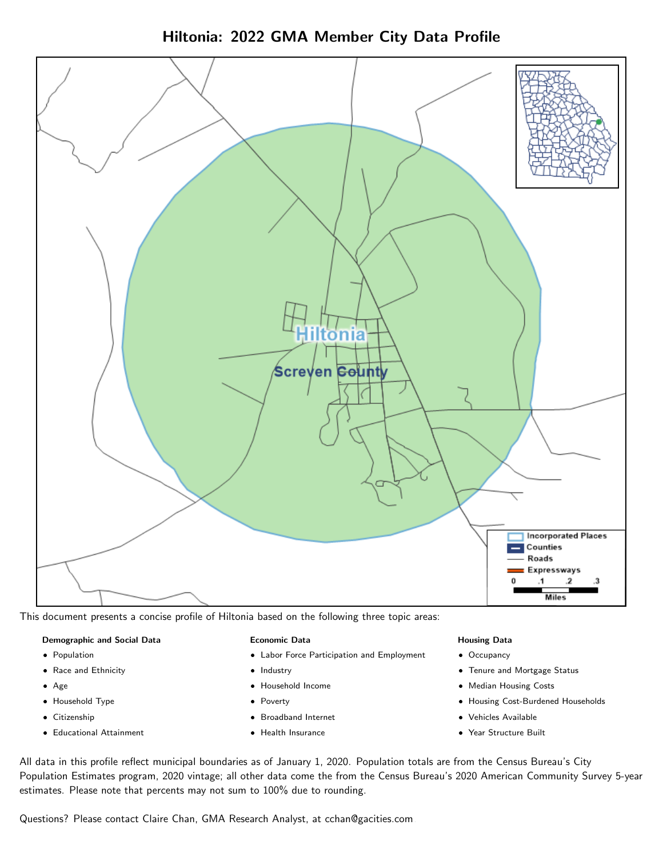Hiltonia: 2022 GMA Member City Data Profile



This document presents a concise profile of Hiltonia based on the following three topic areas:

#### Demographic and Social Data

- **•** Population
- Race and Ethnicity
- Age
- Household Type
- **Citizenship**
- Educational Attainment

#### Economic Data

- Labor Force Participation and Employment
- Industry
- Household Income
- Poverty
- Broadband Internet
- Health Insurance

#### Housing Data

- Occupancy
- Tenure and Mortgage Status
- Median Housing Costs
- Housing Cost-Burdened Households
- Vehicles Available
- Year Structure Built

All data in this profile reflect municipal boundaries as of January 1, 2020. Population totals are from the Census Bureau's City Population Estimates program, 2020 vintage; all other data come the from the Census Bureau's 2020 American Community Survey 5-year estimates. Please note that percents may not sum to 100% due to rounding.

Questions? Please contact Claire Chan, GMA Research Analyst, at [cchan@gacities.com.](mailto:cchan@gacities.com)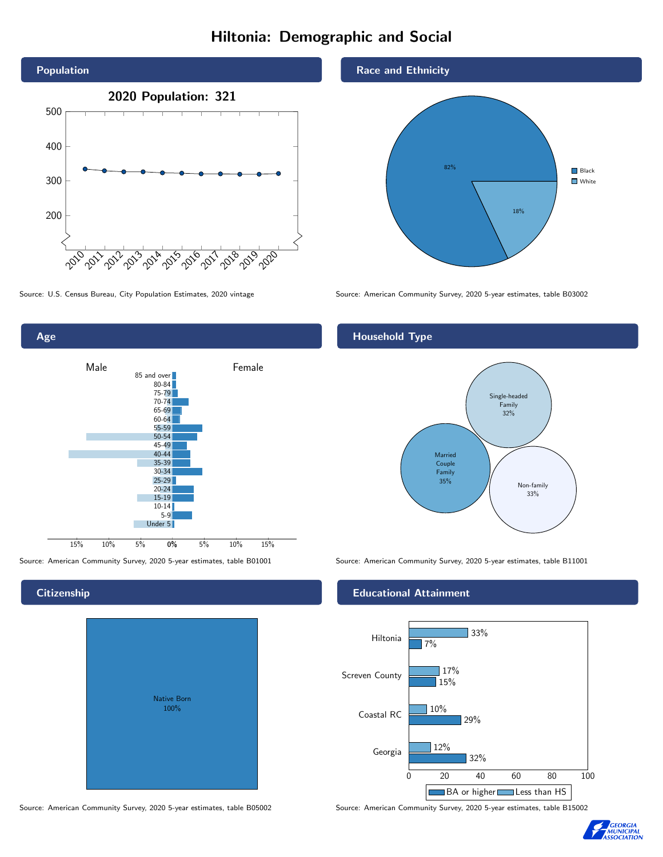## Hiltonia: Demographic and Social



Source: U.S. Census Bureau, City Population Estimates, 2020 vintage Source: American Community Survey, 2020 5-year estimates, table B03002

Age 0% 5% 10% 15% Male **Female** 15% 10% 5% 85 and over 80-84 75-79 70-74 65-69 60-64 55-59 50-54 45-49 40-44 35-39 30-34  $25 - 29$ 20-24 15-19 10-14 5-9 Under 5

**Citizenship** 

# Native Born 100%

Source: American Community Survey, 2020 5-year estimates, table B05002 Source: American Community Survey, 2020 5-year estimates, table B15002

#### Race and Ethnicity



### Household Type



Source: American Community Survey, 2020 5-year estimates, table B01001 Source: American Community Survey, 2020 5-year estimates, table B11001

#### Educational Attainment



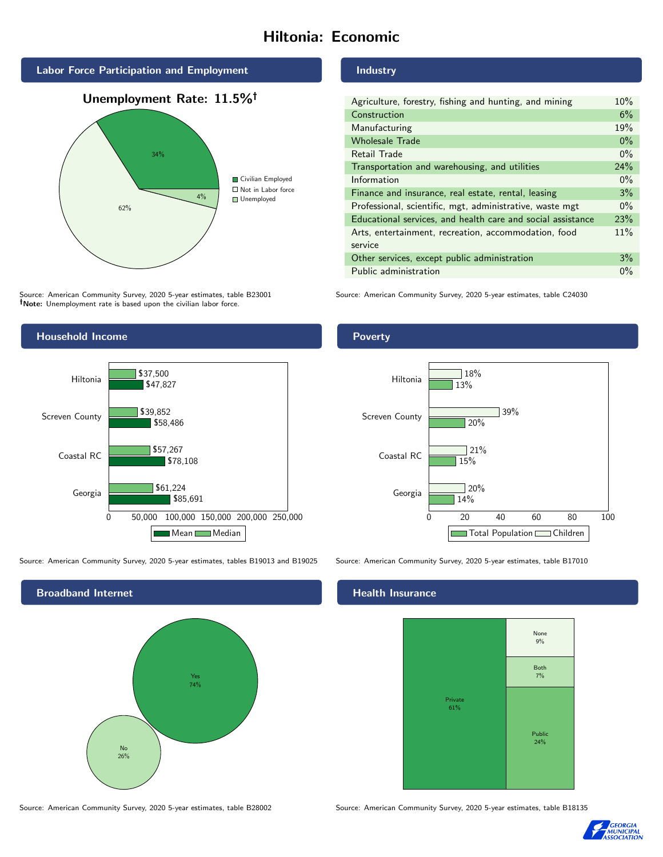# Hiltonia: Economic







Source: American Community Survey, 2020 5-year estimates, table B23001 Note: Unemployment rate is based upon the civilian labor force.

### Industry

| Agriculture, forestry, fishing and hunting, and mining      | 10%   |
|-------------------------------------------------------------|-------|
| Construction                                                | 6%    |
| Manufacturing                                               | 19%   |
| <b>Wholesale Trade</b>                                      | $0\%$ |
| Retail Trade                                                | $0\%$ |
| Transportation and warehousing, and utilities               | 24%   |
| Information                                                 | $0\%$ |
| Finance and insurance, real estate, rental, leasing         | 3%    |
| Professional, scientific, mgt, administrative, waste mgt    | $0\%$ |
| Educational services, and health care and social assistance | 23%   |
| Arts, entertainment, recreation, accommodation, food        | 11%   |
| service                                                     |       |
| Other services, except public administration                | 3%    |
| Public administration                                       | $0\%$ |

Source: American Community Survey, 2020 5-year estimates, table C24030



Source: American Community Survey, 2020 5-year estimates, tables B19013 and B19025 Source: American Community Survey, 2020 5-year estimates, table B17010





## **Health Insurance**



Source: American Community Survey, 2020 5-year estimates, table B28002 Source: American Community Survey, 2020 5-year estimates, table B18135